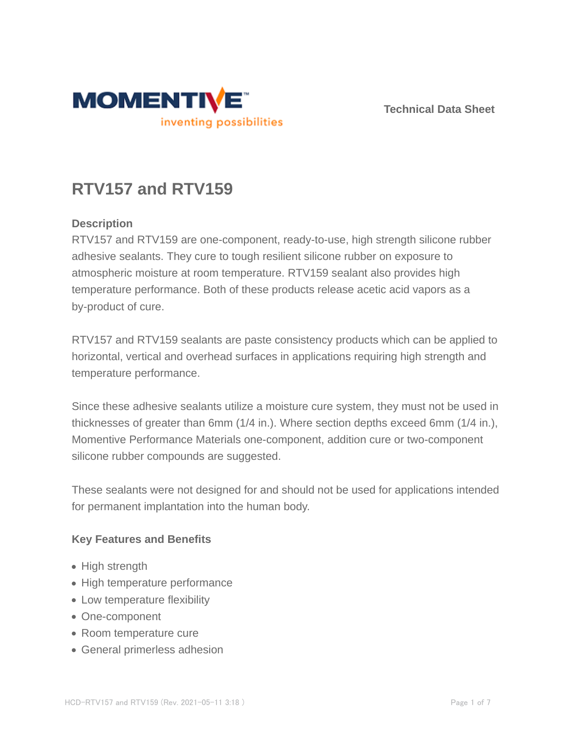

**Technical Data Sheet**

# **RTV157 and RTV159**

#### **Description**

RTV157 and RTV159 are one-component, ready-to-use, high strength silicone rubber adhesive sealants. They cure to tough resilient silicone rubber on exposure to atmospheric moisture at room temperature. RTV159 sealant also provides high temperature performance. Both of these products release acetic acid vapors as a by-product of cure.

RTV157 and RTV159 sealants are paste consistency products which can be applied to horizontal, vertical and overhead surfaces in applications requiring high strength and temperature performance.

Since these adhesive sealants utilize a moisture cure system, they must not be used in thicknesses of greater than 6mm (1/4 in.). Where section depths exceed 6mm (1/4 in.), Momentive Performance Materials one-component, addition cure or two-component silicone rubber compounds are suggested.

These sealants were not designed for and should not be used for applications intended for permanent implantation into the human body.

#### **Key Features and Benefits**

- High strength
- High temperature performance
- Low temperature flexibility
- One-component
- Room temperature cure
- General primerless adhesion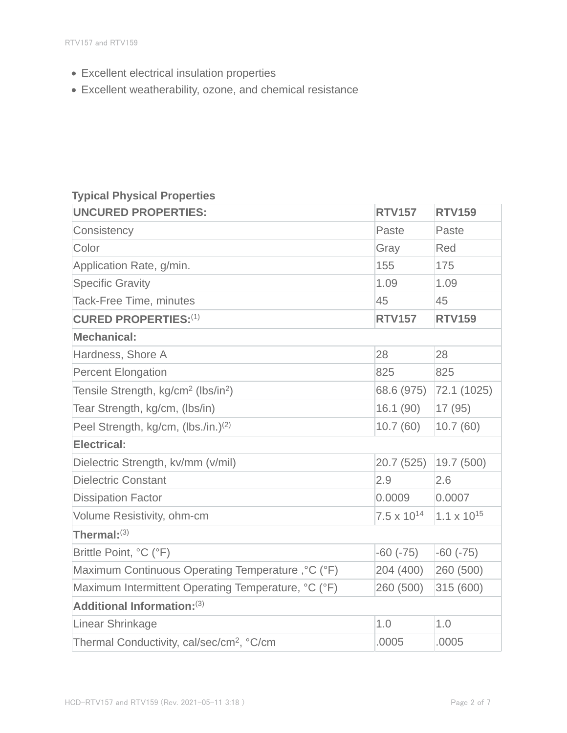- Excellent electrical insulation properties
- Excellent weatherability, ozone, and chemical resistance

## **Typical Physical Properties**

| <b>UNCURED PROPERTIES:</b>                                  | <b>RTV157</b>        | <b>RTV159</b>        |  |  |
|-------------------------------------------------------------|----------------------|----------------------|--|--|
| Consistency                                                 | Paste                | Paste                |  |  |
| Color                                                       | Gray                 | Red                  |  |  |
| Application Rate, g/min.                                    | 155                  | 175                  |  |  |
| <b>Specific Gravity</b>                                     | 1.09                 | 1.09                 |  |  |
| <b>Tack-Free Time, minutes</b>                              | 45                   | 45                   |  |  |
| <b>CURED PROPERTIES:(1)</b>                                 | <b>RTV157</b>        | <b>RTV159</b>        |  |  |
| <b>Mechanical:</b>                                          |                      |                      |  |  |
| Hardness, Shore A                                           | 28                   | 28                   |  |  |
| <b>Percent Elongation</b>                                   | 825                  | 825                  |  |  |
| Tensile Strength, kg/cm <sup>2</sup> (lbs/in <sup>2</sup> ) | 68.6 (975)           | 72.1 (1025)          |  |  |
| Tear Strength, kg/cm, (Ibs/in)                              | 16.1(90)             | 17(95)               |  |  |
| Peel Strength, kg/cm, (lbs./in.) <sup>(2)</sup>             | 10.7(60)             | 10.7(60)             |  |  |
| <b>Electrical:</b>                                          |                      |                      |  |  |
| Dielectric Strength, kv/mm (v/mil)                          | 20.7 (525)           | 19.7 (500)           |  |  |
| <b>Dielectric Constant</b>                                  | 2.9                  | 2.6                  |  |  |
| <b>Dissipation Factor</b>                                   | 0.0009               | 0.0007               |  |  |
| Volume Resistivity, ohm-cm                                  | $7.5 \times 10^{14}$ | $1.1 \times 10^{15}$ |  |  |
| Thermal: $^{(3)}$                                           |                      |                      |  |  |
| Brittle Point, °C (°F)                                      | $-60$ $(-75)$        | $-60(-75)$           |  |  |
| Maximum Continuous Operating Temperature, °C (°F)           | 204 (400)            | 260 (500)            |  |  |
| Maximum Intermittent Operating Temperature, °C (°F)         | 260 (500)            | 315 (600)            |  |  |
| Additional Information: (3)                                 |                      |                      |  |  |
| Linear Shrinkage                                            | 1.0                  | 1.0                  |  |  |
| Thermal Conductivity, cal/sec/cm <sup>2</sup> , °C/cm       | .0005                | .0005                |  |  |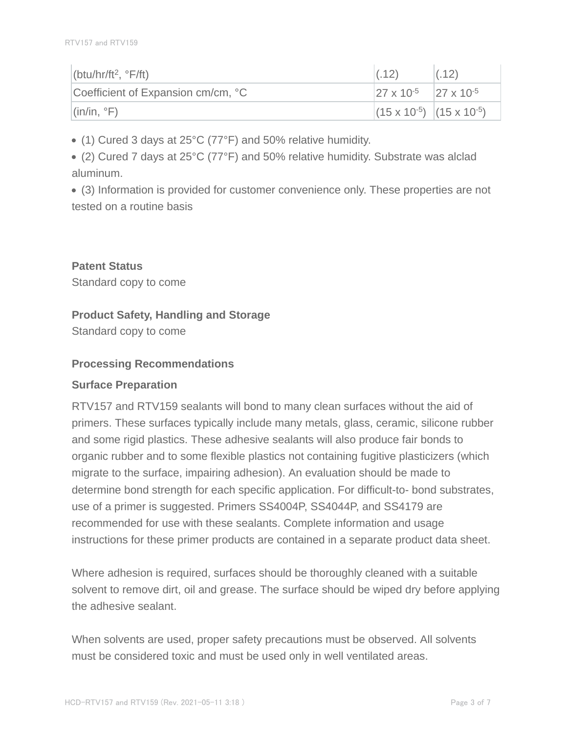| (btu/hr/ft <sup>2</sup> , $\degree$ F/ft)   | (0.12)                                                | (.12) |
|---------------------------------------------|-------------------------------------------------------|-------|
| Coefficient of Expansion cm/cm, °C          | $\sqrt{27 \times 10^{-5}}$ $\sqrt{27 \times 10^{-5}}$ |       |
| $\left  \right $ (in/in, $\left  \right $ ) | $(15 \times 10^{-5})$ $(15 \times 10^{-5})$           |       |

(1) Cured 3 days at 25°C (77°F) and 50% relative humidity.

(2) Cured 7 days at 25°C (77°F) and 50% relative humidity. Substrate was alclad aluminum.

(3) Information is provided for customer convenience only. These properties are not tested on a routine basis

**Patent Status** Standard copy to come

#### **Product Safety, Handling and Storage**

Standard copy to come

#### **Processing Recommendations**

#### **Surface Preparation**

RTV157 and RTV159 sealants will bond to many clean surfaces without the aid of primers. These surfaces typically include many metals, glass, ceramic, silicone rubber and some rigid plastics. These adhesive sealants will also produce fair bonds to organic rubber and to some flexible plastics not containing fugitive plasticizers (which migrate to the surface, impairing adhesion). An evaluation should be made to determine bond strength for each specific application. For difficult-to- bond substrates, use of a primer is suggested. Primers SS4004P, SS4044P, and SS4179 are recommended for use with these sealants. Complete information and usage instructions for these primer products are contained in a separate product data sheet.

Where adhesion is required, surfaces should be thoroughly cleaned with a suitable solvent to remove dirt, oil and grease. The surface should be wiped dry before applying the adhesive sealant.

When solvents are used, proper safety precautions must be observed. All solvents must be considered toxic and must be used only in well ventilated areas.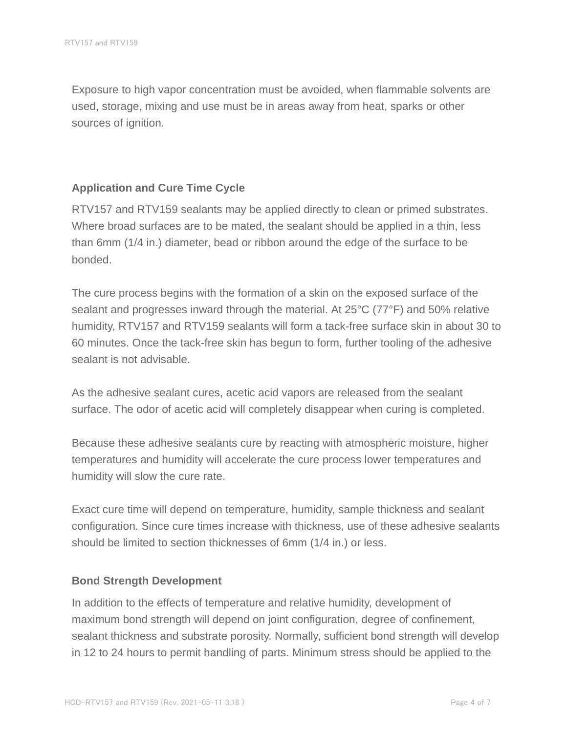Exposure to high vapor concentration must be avoided, when flammable solvents are used, storage, mixing and use must be in areas away from heat, sparks or other sources of ignition.

#### **Application and Cure Time Cycle**

RTV157 and RTV159 sealants may be applied directly to clean or primed substrates. Where broad surfaces are to be mated, the sealant should be applied in a thin, less than 6mm (1/4 in.) diameter, bead or ribbon around the edge of the surface to be bonded.

The cure process begins with the formation of a skin on the exposed surface of the sealant and progresses inward through the material. At 25°C (77°F) and 50% relative humidity, RTV157 and RTV159 sealants will form a tack-free surface skin in about 30 to 60 minutes. Once the tack-free skin has begun to form, further tooling of the adhesive sealant is not advisable.

As the adhesive sealant cures, acetic acid vapors are released from the sealant surface. The odor of acetic acid will completely disappear when curing is completed.

Because these adhesive sealants cure by reacting with atmospheric moisture, higher temperatures and humidity will accelerate the cure process lower temperatures and humidity will slow the cure rate.

Exact cure time will depend on temperature, humidity, sample thickness and sealant configuration. Since cure times increase with thickness, use of these adhesive sealants should be limited to section thicknesses of 6mm (1/4 in.) or less.

#### **Bond Strength Development**

In addition to the effects of temperature and relative humidity, development of maximum bond strength will depend on joint configuration, degree of confinement, sealant thickness and substrate porosity. Normally, sufficient bond strength will develop in 12 to 24 hours to permit handling of parts. Minimum stress should be applied to the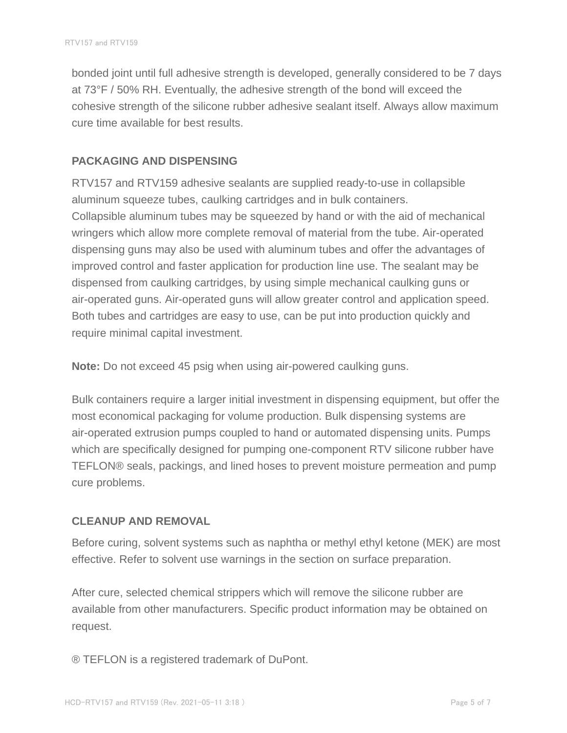bonded joint until full adhesive strength is developed, generally considered to be 7 days at 73°F / 50% RH. Eventually, the adhesive strength of the bond will exceed the cohesive strength of the silicone rubber adhesive sealant itself. Always allow maximum cure time available for best results.

#### **PACKAGING AND DISPENSING**

RTV157 and RTV159 adhesive sealants are supplied ready-to-use in collapsible aluminum squeeze tubes, caulking cartridges and in bulk containers. Collapsible aluminum tubes may be squeezed by hand or with the aid of mechanical wringers which allow more complete removal of material from the tube. Air-operated dispensing guns may also be used with aluminum tubes and offer the advantages of improved control and faster application for production line use. The sealant may be dispensed from caulking cartridges, by using simple mechanical caulking guns or air-operated guns. Air-operated guns will allow greater control and application speed. Both tubes and cartridges are easy to use, can be put into production quickly and require minimal capital investment.

**Note:** Do not exceed 45 psig when using air-powered caulking guns.

Bulk containers require a larger initial investment in dispensing equipment, but offer the most economical packaging for volume production. Bulk dispensing systems are air-operated extrusion pumps coupled to hand or automated dispensing units. Pumps which are specifically designed for pumping one-component RTV silicone rubber have TEFLON® seals, packings, and lined hoses to prevent moisture permeation and pump cure problems.

#### **CLEANUP AND REMOVAL**

Before curing, solvent systems such as naphtha or methyl ethyl ketone (MEK) are most effective. Refer to solvent use warnings in the section on surface preparation.

After cure, selected chemical strippers which will remove the silicone rubber are available from other manufacturers. Specific product information may be obtained on request.

® TEFLON is a registered trademark of DuPont.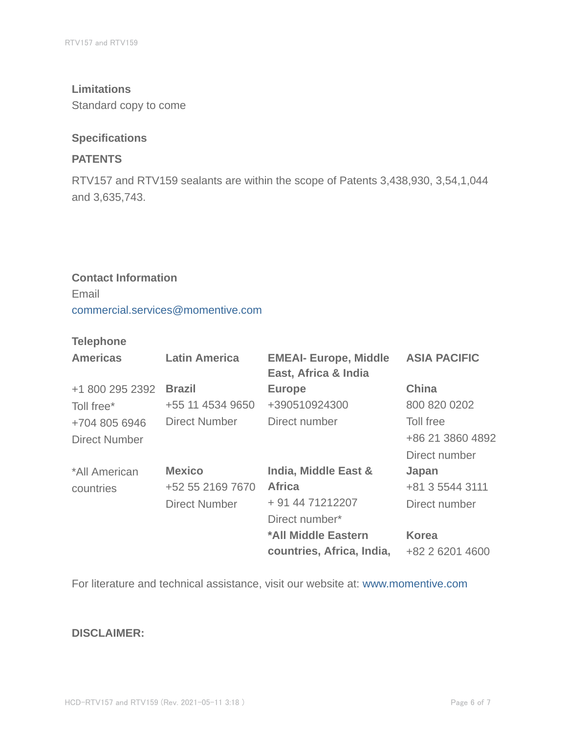#### **Limitations**

Standard copy to come

#### **Specifications**

#### **PATENTS**

RTV157 and RTV159 sealants are within the scope of Patents 3,438,930, 3,54,1,044 and 3,635,743.

### **Contact Information** Email commercial.services@momentive.com

#### **Telephone**

| <b>Americas</b>      | <b>Latin America</b> | <b>EMEAI- Europe, Middle</b><br>East, Africa & India | <b>ASIA PACIFIC</b> |
|----------------------|----------------------|------------------------------------------------------|---------------------|
| +1 800 295 2392      | <b>Brazil</b>        | <b>Europe</b>                                        | <b>China</b>        |
| Toll free*           | +55 11 4534 9650     | +390510924300                                        | 800 820 0202        |
| +704 805 6946        | <b>Direct Number</b> | Direct number                                        | Toll free           |
| <b>Direct Number</b> |                      |                                                      | +86 21 3860 4892    |
|                      |                      |                                                      | Direct number       |
| *All American        | <b>Mexico</b>        | India, Middle East &                                 | Japan               |
| countries            | +52 55 2169 7670     | <b>Africa</b>                                        | +81 3 5544 3111     |
|                      | <b>Direct Number</b> | + 91 44 71212207                                     | Direct number       |
|                      |                      | Direct number*                                       |                     |
|                      |                      | *All Middle Eastern                                  | <b>Korea</b>        |
|                      |                      | countries, Africa, India,                            | +82 2 6201 4600     |

For literature and technical assistance, visit our website at: www.momentive.com

#### **DISCLAIMER:**